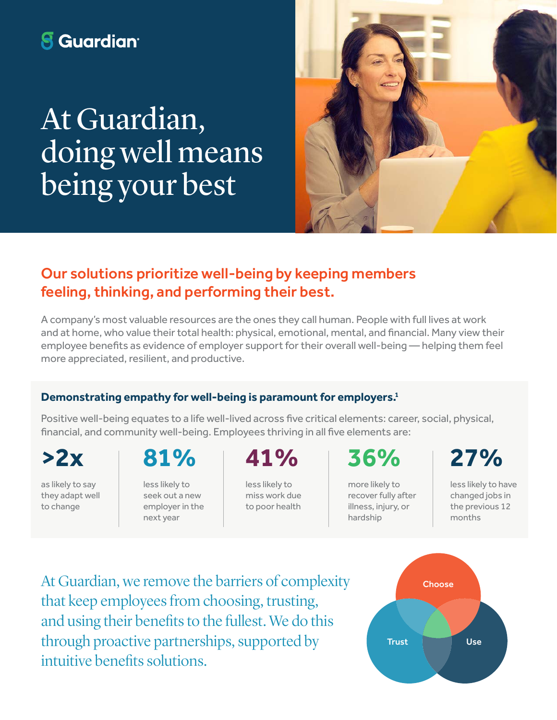# **8** Guardian<sup>®</sup>

At Guardian, doing well means being your best



## Our solutions prioritize well-being by keeping members feeling, thinking, and performing their best.

A company's most valuable resources are the ones they call human. People with full lives at work and at home, who value their total health: physical, emotional, mental, and financial. Many view their employee benefits as evidence of employer support for their overall well-being — helping them feel more appreciated, resilient, and productive.

#### **Demonstrating empathy for well-being is paramount for employers.1**

Positive well-being equates to a life well-lived across five critical elements: career, social, physical, financial, and community well-being. Employees thriving in all five elements are:

as likely to say they adapt well to change

# **>2x 81% 41% 36% 27%**

less likely to seek out a new employer in the next year

less likely to miss work due to poor health

more likely to recover fully after illness, injury, or hardship

less likely to have changed jobs in the previous 12 months

At Guardian, we remove the barriers of complexity that keep employees from choosing, trusting, and using their benefits to the fullest. We do this through proactive partnerships, supported by intuitive benefits solutions.